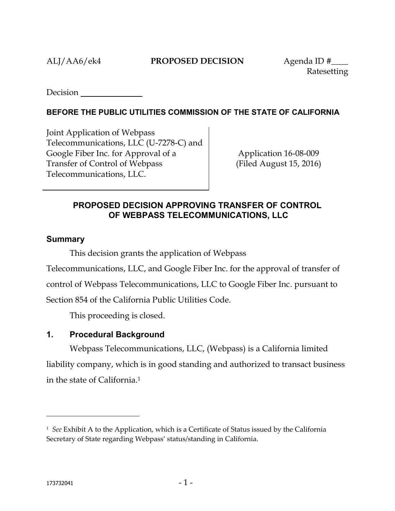Ratesetting

**Decision** 

## **BEFORE THE PUBLIC UTILITIES COMMISSION OF THE STATE OF CALIFORNIA**

Joint Application of Webpass Telecommunications, LLC (U-7278-C) and Google Fiber Inc. for Approval of a Transfer of Control of Webpass Telecommunications, LLC.

Application 16-08-009 (Filed August 15, 2016)

## **PROPOSED DECISION APPROVING TRANSFER OF CONTROL OF WEBPASS TELECOMMUNICATIONS, LLC**

### **Summary**

This decision grants the application of Webpass

Telecommunications, LLC, and Google Fiber Inc. for the approval of transfer of control of Webpass Telecommunications, LLC to Google Fiber Inc. pursuant to

Section 854 of the California Public Utilities Code.

This proceeding is closed.

## **1. Procedural Background**

Webpass Telecommunications, LLC, (Webpass) is a California limited liability company, which is in good standing and authorized to transact business in the state of California.<sup>1</sup>

<sup>1</sup>  *See* Exhibit A to the Application, which is a Certificate of Status issued by the California Secretary of State regarding Webpass' status/standing in California.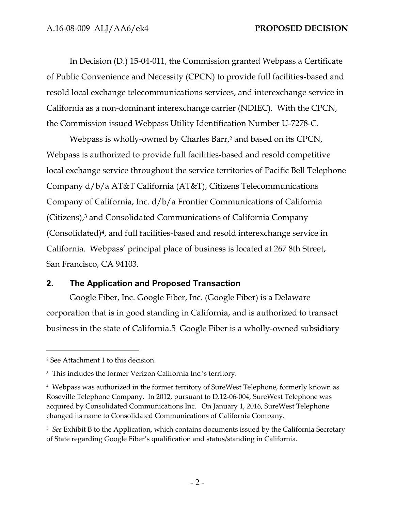In Decision (D.) 15-04-011, the Commission granted Webpass a Certificate of Public Convenience and Necessity (CPCN) to provide full facilities-based and resold local exchange telecommunications services, and interexchange service in California as a non-dominant interexchange carrier (NDIEC). With the CPCN, the Commission issued Webpass Utility Identification Number U-7278-C.

Webpass is wholly-owned by Charles Barr, <sup>2</sup> and based on its CPCN, Webpass is authorized to provide full facilities-based and resold competitive local exchange service throughout the service territories of Pacific Bell Telephone Company d/b/a AT&T California (AT&T), Citizens Telecommunications Company of California, Inc. d/b/a Frontier Communications of California (Citizens),<sup>3</sup> and Consolidated Communications of California Company (Consolidated)4, and full facilities-based and resold interexchange service in California. Webpass' principal place of business is located at 267 8th Street, San Francisco, CA 94103.

## **2. The Application and Proposed Transaction**

Google Fiber, Inc. Google Fiber, Inc. (Google Fiber) is a Delaware corporation that is in good standing in California, and is authorized to transact business in the state of California.5 Google Fiber is a wholly-owned subsidiary

<sup>2</sup> See Attachment 1 to this decision.

<sup>3</sup> This includes the former Verizon California Inc.'s territory.

<sup>4</sup> Webpass was authorized in the former territory of SureWest Telephone, formerly known as Roseville Telephone Company. In 2012, pursuant to D.12-06-004, SureWest Telephone was acquired by Consolidated Communications Inc. On January 1, 2016, SureWest Telephone changed its name to Consolidated Communications of California Company.

<sup>5</sup> *See* Exhibit B to the Application, which contains documents issued by the California Secretary of State regarding Google Fiber's qualification and status/standing in California.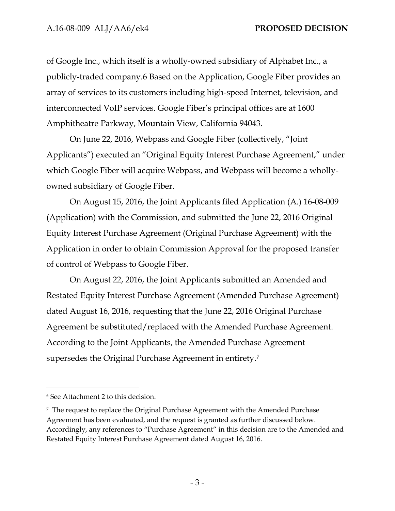of Google Inc., which itself is a wholly-owned subsidiary of Alphabet Inc., a publicly-traded company.6 Based on the Application, Google Fiber provides an array of services to its customers including high-speed Internet, television, and interconnected VoIP services. Google Fiber's principal offices are at 1600 Amphitheatre Parkway, Mountain View, California 94043.

On June 22, 2016, Webpass and Google Fiber (collectively, "Joint Applicants") executed an "Original Equity Interest Purchase Agreement," under which Google Fiber will acquire Webpass, and Webpass will become a whollyowned subsidiary of Google Fiber.

On August 15, 2016, the Joint Applicants filed Application (A.) 16-08-009 (Application) with the Commission, and submitted the June 22, 2016 Original Equity Interest Purchase Agreement (Original Purchase Agreement) with the Application in order to obtain Commission Approval for the proposed transfer of control of Webpass to Google Fiber.

On August 22, 2016, the Joint Applicants submitted an Amended and Restated Equity Interest Purchase Agreement (Amended Purchase Agreement) dated August 16, 2016, requesting that the June 22, 2016 Original Purchase Agreement be substituted/replaced with the Amended Purchase Agreement. According to the Joint Applicants, the Amended Purchase Agreement supersedes the Original Purchase Agreement in entirety. 7

<sup>6</sup> See Attachment 2 to this decision.

<sup>7</sup> The request to replace the Original Purchase Agreement with the Amended Purchase Agreement has been evaluated, and the request is granted as further discussed below. Accordingly, any references to "Purchase Agreement" in this decision are to the Amended and Restated Equity Interest Purchase Agreement dated August 16, 2016.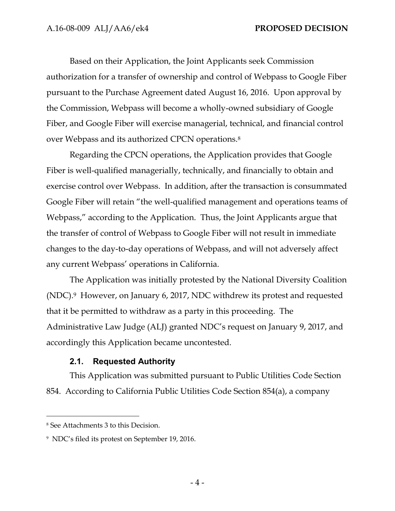Based on their Application, the Joint Applicants seek Commission authorization for a transfer of ownership and control of Webpass to Google Fiber pursuant to the Purchase Agreement dated August 16, 2016. Upon approval by the Commission, Webpass will become a wholly-owned subsidiary of Google Fiber, and Google Fiber will exercise managerial, technical, and financial control over Webpass and its authorized CPCN operations.<sup>8</sup>

Regarding the CPCN operations, the Application provides that Google Fiber is well-qualified managerially, technically, and financially to obtain and exercise control over Webpass. In addition, after the transaction is consummated Google Fiber will retain "the well-qualified management and operations teams of Webpass," according to the Application. Thus, the Joint Applicants argue that the transfer of control of Webpass to Google Fiber will not result in immediate changes to the day-to-day operations of Webpass, and will not adversely affect any current Webpass' operations in California.

The Application was initially protested by the National Diversity Coalition (NDC).9 However, on January 6, 2017, NDC withdrew its protest and requested that it be permitted to withdraw as a party in this proceeding. The Administrative Law Judge (ALJ) granted NDC's request on January 9, 2017, and accordingly this Application became uncontested.

## **2.1. Requested Authority**

This Application was submitted pursuant to Public Utilities Code Section 854. According to California Public Utilities Code Section 854(a), a company

<sup>8</sup> See Attachments 3 to this Decision.

<sup>9</sup> NDC's filed its protest on September 19, 2016.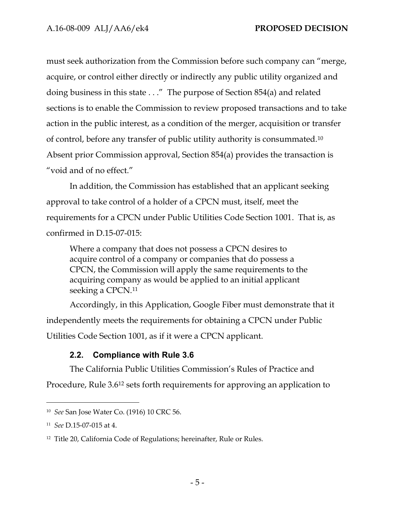must seek authorization from the Commission before such company can "merge, acquire, or control either directly or indirectly any public utility organized and doing business in this state . . ." The purpose of Section 854(a) and related sections is to enable the Commission to review proposed transactions and to take action in the public interest, as a condition of the merger, acquisition or transfer of control, before any transfer of public utility authority is consummated.<sup>10</sup> Absent prior Commission approval, Section 854(a) provides the transaction is "void and of no effect."

In addition, the Commission has established that an applicant seeking approval to take control of a holder of a CPCN must, itself, meet the requirements for a CPCN under Public Utilities Code Section 1001. That is, as confirmed in D.15-07-015:

Where a company that does not possess a CPCN desires to acquire control of a company or companies that do possess a CPCN, the Commission will apply the same requirements to the acquiring company as would be applied to an initial applicant seeking a CPCN.<sup>11</sup>

Accordingly, in this Application, Google Fiber must demonstrate that it independently meets the requirements for obtaining a CPCN under Public Utilities Code Section 1001, as if it were a CPCN applicant.

## **2.2. Compliance with Rule 3.6**

The California Public Utilities Commission's Rules of Practice and Procedure, Rule 3.6<sup>12</sup> sets forth requirements for approving an application to

<sup>10</sup> *See* San Jose Water Co. (1916) 10 CRC 56.

<sup>11</sup> *See* D.15-07-015 at 4.

<sup>12</sup> Title 20, California Code of Regulations; hereinafter, Rule or Rules.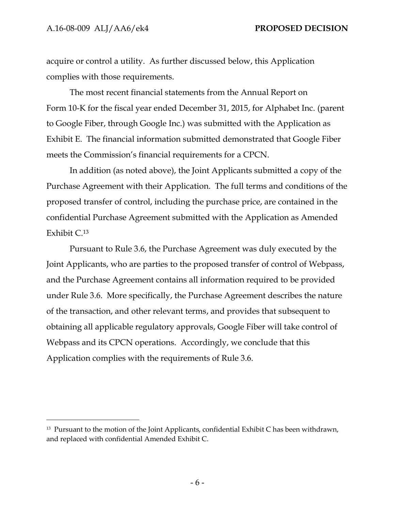$\overline{a}$ 

acquire or control a utility. As further discussed below, this Application complies with those requirements.

The most recent financial statements from the Annual Report on Form 10-K for the fiscal year ended December 31, 2015, for Alphabet Inc. (parent to Google Fiber, through Google Inc.) was submitted with the Application as Exhibit E. The financial information submitted demonstrated that Google Fiber meets the Commission's financial requirements for a CPCN.

In addition (as noted above), the Joint Applicants submitted a copy of the Purchase Agreement with their Application. The full terms and conditions of the proposed transfer of control, including the purchase price, are contained in the confidential Purchase Agreement submitted with the Application as Amended Exhibit C.<sup>13</sup>

Pursuant to Rule 3.6, the Purchase Agreement was duly executed by the Joint Applicants, who are parties to the proposed transfer of control of Webpass, and the Purchase Agreement contains all information required to be provided under Rule 3.6. More specifically, the Purchase Agreement describes the nature of the transaction, and other relevant terms, and provides that subsequent to obtaining all applicable regulatory approvals, Google Fiber will take control of Webpass and its CPCN operations. Accordingly, we conclude that this Application complies with the requirements of Rule 3.6.

<sup>&</sup>lt;sup>13</sup> Pursuant to the motion of the Joint Applicants, confidential Exhibit C has been withdrawn, and replaced with confidential Amended Exhibit C.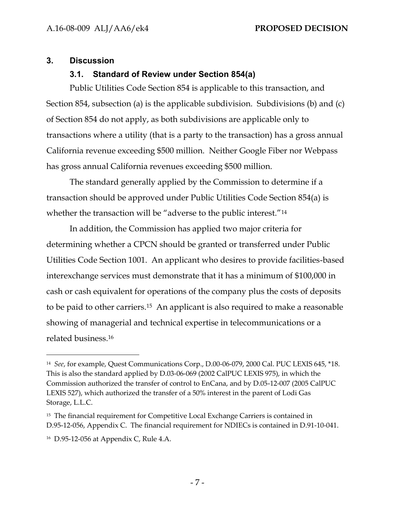### **3. Discussion**

## **3.1. Standard of Review under Section 854(a)**

Public Utilities Code Section 854 is applicable to this transaction, and Section 854, subsection (a) is the applicable subdivision. Subdivisions (b) and (c) of Section 854 do not apply, as both subdivisions are applicable only to transactions where a utility (that is a party to the transaction) has a gross annual California revenue exceeding \$500 million. Neither Google Fiber nor Webpass has gross annual California revenues exceeding \$500 million.

The standard generally applied by the Commission to determine if a transaction should be approved under Public Utilities Code Section 854(a) is whether the transaction will be "adverse to the public interest."<sup>14</sup>

In addition, the Commission has applied two major criteria for determining whether a CPCN should be granted or transferred under Public Utilities Code Section 1001. An applicant who desires to provide facilities-based interexchange services must demonstrate that it has a minimum of \$100,000 in cash or cash equivalent for operations of the company plus the costs of deposits to be paid to other carriers.15 An applicant is also required to make a reasonable showing of managerial and technical expertise in telecommunications or a related business.<sup>16</sup>

<sup>14</sup> *See*, for example, Quest Communications Corp., D.00-06-079, 2000 Cal. PUC LEXIS 645, \*18. This is also the standard applied by D.03-06-069 (2002 CalPUC LEXIS 975), in which the Commission authorized the transfer of control to EnCana, and by D.05-12-007 (2005 CalPUC LEXIS 527), which authorized the transfer of a 50% interest in the parent of Lodi Gas Storage, L.L.C.

<sup>&</sup>lt;sup>15</sup> The financial requirement for Competitive Local Exchange Carriers is contained in D.95-12-056, Appendix C. The financial requirement for NDIECs is contained in D.91-10-041.

<sup>16</sup> D.95-12-056 at Appendix C, Rule 4.A.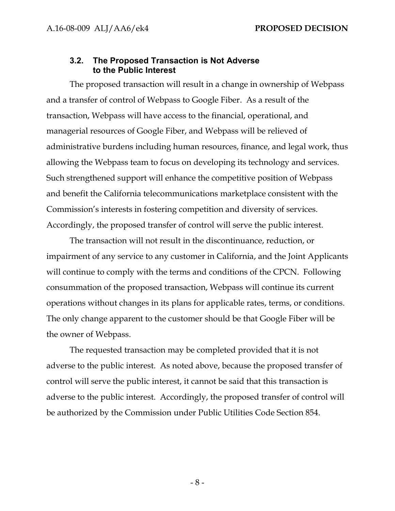#### **3.2. The Proposed Transaction is Not Adverse to the Public Interest**

The proposed transaction will result in a change in ownership of Webpass and a transfer of control of Webpass to Google Fiber. As a result of the transaction, Webpass will have access to the financial, operational, and managerial resources of Google Fiber, and Webpass will be relieved of administrative burdens including human resources, finance, and legal work, thus allowing the Webpass team to focus on developing its technology and services. Such strengthened support will enhance the competitive position of Webpass and benefit the California telecommunications marketplace consistent with the Commission's interests in fostering competition and diversity of services. Accordingly, the proposed transfer of control will serve the public interest.

The transaction will not result in the discontinuance, reduction, or impairment of any service to any customer in California, and the Joint Applicants will continue to comply with the terms and conditions of the CPCN. Following consummation of the proposed transaction, Webpass will continue its current operations without changes in its plans for applicable rates, terms, or conditions. The only change apparent to the customer should be that Google Fiber will be the owner of Webpass.

The requested transaction may be completed provided that it is not adverse to the public interest. As noted above, because the proposed transfer of control will serve the public interest, it cannot be said that this transaction is adverse to the public interest. Accordingly, the proposed transfer of control will be authorized by the Commission under Public Utilities Code Section 854.

- 8 -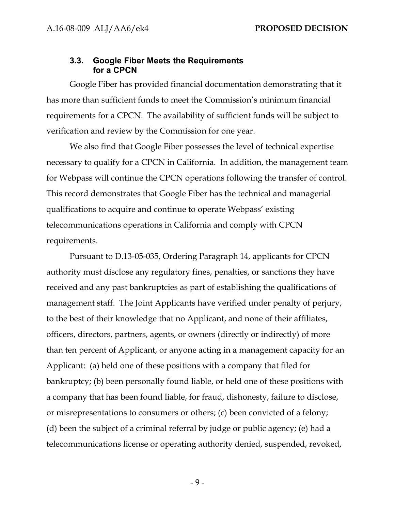#### **3.3. Google Fiber Meets the Requirements for a CPCN**

Google Fiber has provided financial documentation demonstrating that it has more than sufficient funds to meet the Commission's minimum financial requirements for a CPCN. The availability of sufficient funds will be subject to verification and review by the Commission for one year.

We also find that Google Fiber possesses the level of technical expertise necessary to qualify for a CPCN in California. In addition, the management team for Webpass will continue the CPCN operations following the transfer of control. This record demonstrates that Google Fiber has the technical and managerial qualifications to acquire and continue to operate Webpass' existing telecommunications operations in California and comply with CPCN requirements.

Pursuant to D.13-05-035, Ordering Paragraph 14, applicants for CPCN authority must disclose any regulatory fines, penalties, or sanctions they have received and any past bankruptcies as part of establishing the qualifications of management staff. The Joint Applicants have verified under penalty of perjury, to the best of their knowledge that no Applicant, and none of their affiliates, officers, directors, partners, agents, or owners (directly or indirectly) of more than ten percent of Applicant, or anyone acting in a management capacity for an Applicant: (a) held one of these positions with a company that filed for bankruptcy; (b) been personally found liable, or held one of these positions with a company that has been found liable, for fraud, dishonesty, failure to disclose, or misrepresentations to consumers or others; (c) been convicted of a felony; (d) been the subject of a criminal referral by judge or public agency; (e) had a telecommunications license or operating authority denied, suspended, revoked,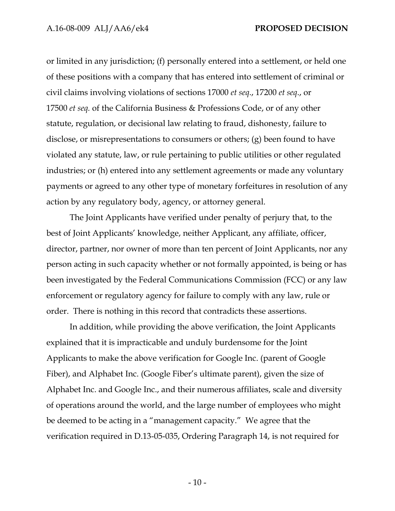or limited in any jurisdiction; (f) personally entered into a settlement, or held one of these positions with a company that has entered into settlement of criminal or civil claims involving violations of sections 17000 *et seq*., 17200 *et seq*., or 17500 *et seq.* of the California Business & Professions Code, or of any other statute, regulation, or decisional law relating to fraud, dishonesty, failure to disclose, or misrepresentations to consumers or others; (g) been found to have violated any statute, law, or rule pertaining to public utilities or other regulated industries; or (h) entered into any settlement agreements or made any voluntary payments or agreed to any other type of monetary forfeitures in resolution of any action by any regulatory body, agency, or attorney general.

The Joint Applicants have verified under penalty of perjury that, to the best of Joint Applicants' knowledge, neither Applicant, any affiliate, officer, director, partner, nor owner of more than ten percent of Joint Applicants, nor any person acting in such capacity whether or not formally appointed, is being or has been investigated by the Federal Communications Commission (FCC) or any law enforcement or regulatory agency for failure to comply with any law, rule or order. There is nothing in this record that contradicts these assertions.

In addition, while providing the above verification, the Joint Applicants explained that it is impracticable and unduly burdensome for the Joint Applicants to make the above verification for Google Inc. (parent of Google Fiber), and Alphabet Inc. (Google Fiber's ultimate parent), given the size of Alphabet Inc. and Google Inc., and their numerous affiliates, scale and diversity of operations around the world, and the large number of employees who might be deemed to be acting in a "management capacity." We agree that the verification required in D.13-05-035, Ordering Paragraph 14, is not required for

- 10 -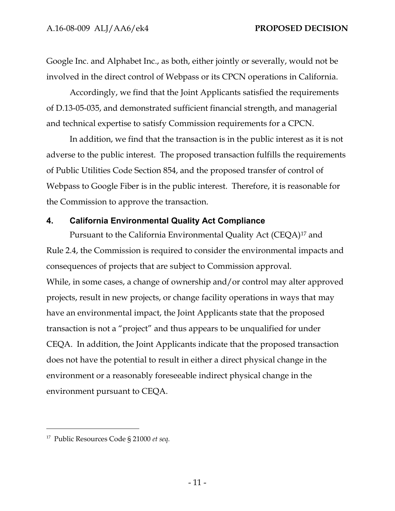Google Inc. and Alphabet Inc., as both, either jointly or severally, would not be involved in the direct control of Webpass or its CPCN operations in California.

Accordingly, we find that the Joint Applicants satisfied the requirements of D.13-05-035, and demonstrated sufficient financial strength, and managerial and technical expertise to satisfy Commission requirements for a CPCN.

In addition, we find that the transaction is in the public interest as it is not adverse to the public interest. The proposed transaction fulfills the requirements of Public Utilities Code Section 854, and the proposed transfer of control of Webpass to Google Fiber is in the public interest. Therefore, it is reasonable for the Commission to approve the transaction.

### **4. California Environmental Quality Act Compliance**

Pursuant to the California Environmental Quality Act (CEQA) <sup>17</sup> and Rule 2.4, the Commission is required to consider the environmental impacts and consequences of projects that are subject to Commission approval. While, in some cases, a change of ownership and/or control may alter approved projects, result in new projects, or change facility operations in ways that may have an environmental impact, the Joint Applicants state that the proposed transaction is not a "project" and thus appears to be unqualified for under CEQA. In addition, the Joint Applicants indicate that the proposed transaction does not have the potential to result in either a direct physical change in the environment or a reasonably foreseeable indirect physical change in the environment pursuant to CEQA.

<sup>17</sup> Public Resources Code § 21000 *et seq.*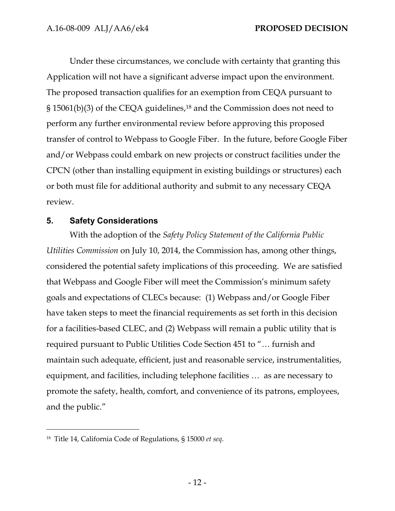Under these circumstances, we conclude with certainty that granting this Application will not have a significant adverse impact upon the environment. The proposed transaction qualifies for an exemption from CEQA pursuant to § 15061(b)(3) of the CEQA guidelines, <sup>18</sup> and the Commission does not need to perform any further environmental review before approving this proposed transfer of control to Webpass to Google Fiber. In the future, before Google Fiber and/or Webpass could embark on new projects or construct facilities under the CPCN (other than installing equipment in existing buildings or structures) each or both must file for additional authority and submit to any necessary CEQA review.

### **5. Safety Considerations**

With the adoption of the *Safety Policy Statement of the California Public Utilities Commission* on July 10, 2014, the Commission has, among other things, considered the potential safety implications of this proceeding. We are satisfied that Webpass and Google Fiber will meet the Commission's minimum safety goals and expectations of CLECs because: (1) Webpass and/or Google Fiber have taken steps to meet the financial requirements as set forth in this decision for a facilities-based CLEC, and (2) Webpass will remain a public utility that is required pursuant to Public Utilities Code Section 451 to "… furnish and maintain such adequate, efficient, just and reasonable service, instrumentalities, equipment, and facilities, including telephone facilities … as are necessary to promote the safety, health, comfort, and convenience of its patrons, employees, and the public."

<sup>18</sup> Title 14, California Code of Regulations, § 15000 *et seq*.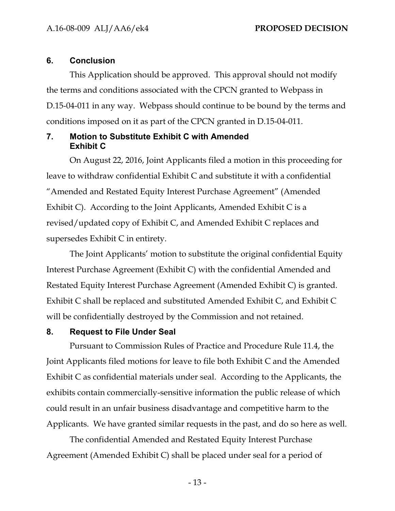#### **6. Conclusion**

This Application should be approved. This approval should not modify the terms and conditions associated with the CPCN granted to Webpass in D.15-04-011 in any way. Webpass should continue to be bound by the terms and conditions imposed on it as part of the CPCN granted in D.15-04-011.

## **7. Motion to Substitute Exhibit C with Amended Exhibit C**

On August 22, 2016, Joint Applicants filed a motion in this proceeding for leave to withdraw confidential Exhibit C and substitute it with a confidential "Amended and Restated Equity Interest Purchase Agreement" (Amended Exhibit C). According to the Joint Applicants, Amended Exhibit C is a revised/updated copy of Exhibit C, and Amended Exhibit C replaces and supersedes Exhibit C in entirety.

The Joint Applicants' motion to substitute the original confidential Equity Interest Purchase Agreement (Exhibit C) with the confidential Amended and Restated Equity Interest Purchase Agreement (Amended Exhibit C) is granted. Exhibit C shall be replaced and substituted Amended Exhibit C, and Exhibit C will be confidentially destroyed by the Commission and not retained.

#### **8. Request to File Under Seal**

Pursuant to Commission Rules of Practice and Procedure Rule 11.4, the Joint Applicants filed motions for leave to file both Exhibit C and the Amended Exhibit C as confidential materials under seal. According to the Applicants, the exhibits contain commercially-sensitive information the public release of which could result in an unfair business disadvantage and competitive harm to the Applicants. We have granted similar requests in the past, and do so here as well.

The confidential Amended and Restated Equity Interest Purchase Agreement (Amended Exhibit C) shall be placed under seal for a period of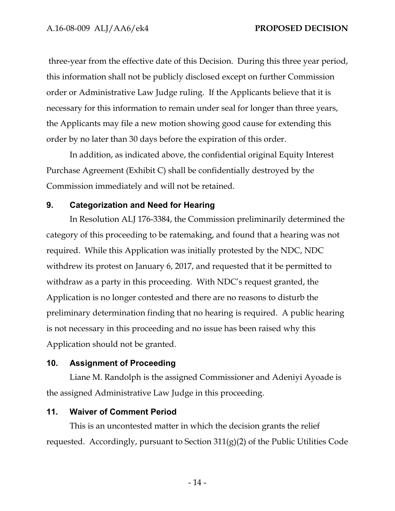three-year from the effective date of this Decision. During this three year period, this information shall not be publicly disclosed except on further Commission order or Administrative Law Judge ruling. If the Applicants believe that it is necessary for this information to remain under seal for longer than three years, the Applicants may file a new motion showing good cause for extending this order by no later than 30 days before the expiration of this order.

In addition, as indicated above, the confidential original Equity Interest Purchase Agreement (Exhibit C) shall be confidentially destroyed by the Commission immediately and will not be retained.

#### **9. Categorization and Need for Hearing**

In Resolution ALJ 176-3384, the Commission preliminarily determined the category of this proceeding to be ratemaking, and found that a hearing was not required. While this Application was initially protested by the NDC, NDC withdrew its protest on January 6, 2017, and requested that it be permitted to withdraw as a party in this proceeding. With NDC's request granted, the Application is no longer contested and there are no reasons to disturb the preliminary determination finding that no hearing is required. A public hearing is not necessary in this proceeding and no issue has been raised why this Application should not be granted.

#### **10. Assignment of Proceeding**

Liane M. Randolph is the assigned Commissioner and Adeniyi Ayoade is the assigned Administrative Law Judge in this proceeding.

#### **11. Waiver of Comment Period**

This is an uncontested matter in which the decision grants the relief requested. Accordingly, pursuant to Section 311(g)(2) of the Public Utilities Code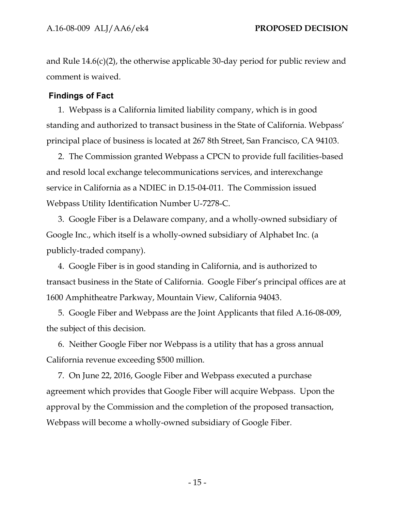and Rule 14.6(c)(2), the otherwise applicable 30-day period for public review and comment is waived.

## **Findings of Fact**

1. Webpass is a California limited liability company, which is in good standing and authorized to transact business in the State of California. Webpass' principal place of business is located at 267 8th Street, San Francisco, CA 94103.

2. The Commission granted Webpass a CPCN to provide full facilities-based and resold local exchange telecommunications services, and interexchange service in California as a NDIEC in D.15-04-011. The Commission issued Webpass Utility Identification Number U-7278-C.

3. Google Fiber is a Delaware company, and a wholly-owned subsidiary of Google Inc., which itself is a wholly-owned subsidiary of Alphabet Inc. (a publicly-traded company).

4. Google Fiber is in good standing in California, and is authorized to transact business in the State of California. Google Fiber's principal offices are at 1600 Amphitheatre Parkway, Mountain View, California 94043.

5. Google Fiber and Webpass are the Joint Applicants that filed A.16-08-009, the subject of this decision.

6. Neither Google Fiber nor Webpass is a utility that has a gross annual California revenue exceeding \$500 million.

7. On June 22, 2016, Google Fiber and Webpass executed a purchase agreement which provides that Google Fiber will acquire Webpass. Upon the approval by the Commission and the completion of the proposed transaction, Webpass will become a wholly-owned subsidiary of Google Fiber.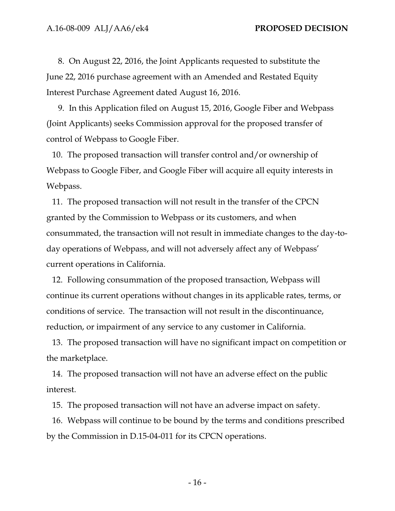8. On August 22, 2016, the Joint Applicants requested to substitute the June 22, 2016 purchase agreement with an Amended and Restated Equity Interest Purchase Agreement dated August 16, 2016.

9. In this Application filed on August 15, 2016, Google Fiber and Webpass (Joint Applicants) seeks Commission approval for the proposed transfer of control of Webpass to Google Fiber.

10. The proposed transaction will transfer control and/or ownership of Webpass to Google Fiber, and Google Fiber will acquire all equity interests in Webpass.

11. The proposed transaction will not result in the transfer of the CPCN granted by the Commission to Webpass or its customers, and when consummated, the transaction will not result in immediate changes to the day-today operations of Webpass, and will not adversely affect any of Webpass' current operations in California.

12. Following consummation of the proposed transaction, Webpass will continue its current operations without changes in its applicable rates, terms, or conditions of service. The transaction will not result in the discontinuance, reduction, or impairment of any service to any customer in California.

13. The proposed transaction will have no significant impact on competition or the marketplace.

14. The proposed transaction will not have an adverse effect on the public interest.

15. The proposed transaction will not have an adverse impact on safety.

16. Webpass will continue to be bound by the terms and conditions prescribed by the Commission in D.15-04-011 for its CPCN operations.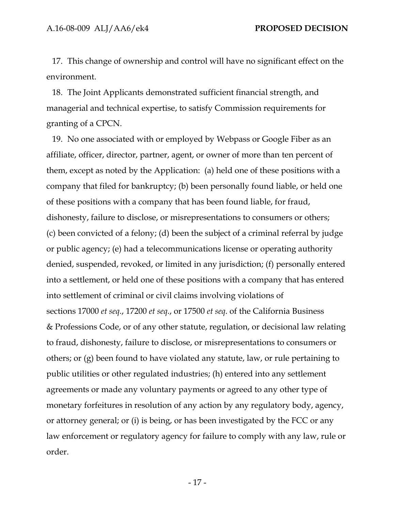17. This change of ownership and control will have no significant effect on the environment.

18. The Joint Applicants demonstrated sufficient financial strength, and managerial and technical expertise, to satisfy Commission requirements for granting of a CPCN.

19. No one associated with or employed by Webpass or Google Fiber as an affiliate, officer, director, partner, agent, or owner of more than ten percent of them, except as noted by the Application: (a) held one of these positions with a company that filed for bankruptcy; (b) been personally found liable, or held one of these positions with a company that has been found liable, for fraud, dishonesty, failure to disclose, or misrepresentations to consumers or others; (c) been convicted of a felony; (d) been the subject of a criminal referral by judge or public agency; (e) had a telecommunications license or operating authority denied, suspended, revoked, or limited in any jurisdiction; (f) personally entered into a settlement, or held one of these positions with a company that has entered into settlement of criminal or civil claims involving violations of sections 17000 *et seq*., 17200 *et seq*., or 17500 *et seq*. of the California Business & Professions Code, or of any other statute, regulation, or decisional law relating to fraud, dishonesty, failure to disclose, or misrepresentations to consumers or others; or (g) been found to have violated any statute, law, or rule pertaining to public utilities or other regulated industries; (h) entered into any settlement agreements or made any voluntary payments or agreed to any other type of monetary forfeitures in resolution of any action by any regulatory body, agency, or attorney general; or (i) is being, or has been investigated by the FCC or any law enforcement or regulatory agency for failure to comply with any law, rule or order.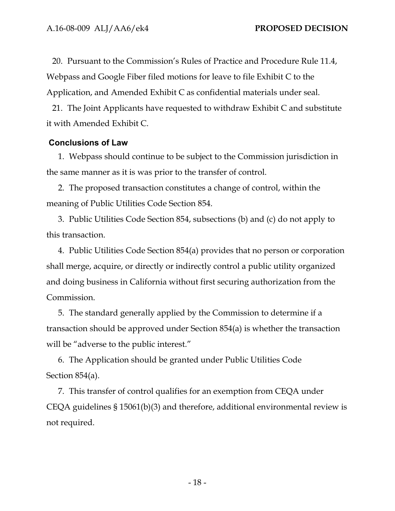20. Pursuant to the Commission's Rules of Practice and Procedure Rule 11.4, Webpass and Google Fiber filed motions for leave to file Exhibit C to the Application, and Amended Exhibit C as confidential materials under seal.

21. The Joint Applicants have requested to withdraw Exhibit C and substitute it with Amended Exhibit C.

#### **Conclusions of Law**

1. Webpass should continue to be subject to the Commission jurisdiction in the same manner as it is was prior to the transfer of control.

2. The proposed transaction constitutes a change of control, within the meaning of Public Utilities Code Section 854.

3. Public Utilities Code Section 854, subsections (b) and (c) do not apply to this transaction.

4. Public Utilities Code Section 854(a) provides that no person or corporation shall merge, acquire, or directly or indirectly control a public utility organized and doing business in California without first securing authorization from the Commission.

5. The standard generally applied by the Commission to determine if a transaction should be approved under Section 854(a) is whether the transaction will be "adverse to the public interest."

6. The Application should be granted under Public Utilities Code Section 854(a).

7. This transfer of control qualifies for an exemption from CEQA under CEQA guidelines § 15061(b)(3) and therefore, additional environmental review is not required.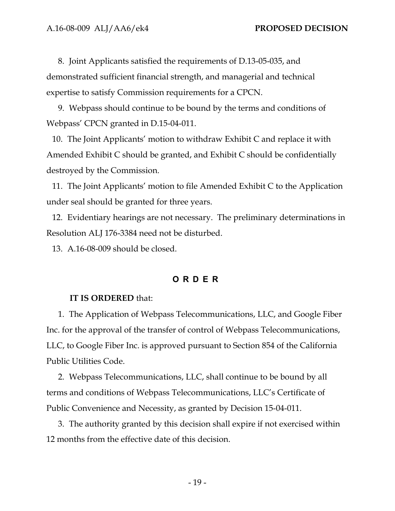8. Joint Applicants satisfied the requirements of D.13-05-035, and demonstrated sufficient financial strength, and managerial and technical expertise to satisfy Commission requirements for a CPCN.

9. Webpass should continue to be bound by the terms and conditions of Webpass' CPCN granted in D.15-04-011.

10. The Joint Applicants' motion to withdraw Exhibit C and replace it with Amended Exhibit C should be granted, and Exhibit C should be confidentially destroyed by the Commission.

11. The Joint Applicants' motion to file Amended Exhibit C to the Application under seal should be granted for three years.

12. Evidentiary hearings are not necessary. The preliminary determinations in Resolution ALJ 176-3384 need not be disturbed.

13. A.16-08-009 should be closed.

## **ORDER**

#### **IT IS ORDERED** that:

1. The Application of Webpass Telecommunications, LLC, and Google Fiber Inc. for the approval of the transfer of control of Webpass Telecommunications, LLC, to Google Fiber Inc. is approved pursuant to Section 854 of the California Public Utilities Code.

2. Webpass Telecommunications, LLC, shall continue to be bound by all terms and conditions of Webpass Telecommunications, LLC's Certificate of Public Convenience and Necessity, as granted by Decision 15-04-011.

3. The authority granted by this decision shall expire if not exercised within 12 months from the effective date of this decision.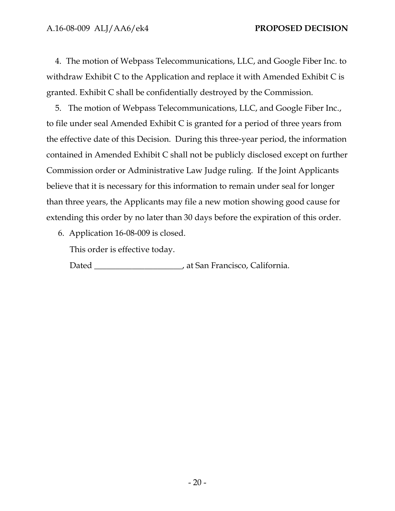4. The motion of Webpass Telecommunications, LLC, and Google Fiber Inc. to withdraw Exhibit C to the Application and replace it with Amended Exhibit C is granted. Exhibit C shall be confidentially destroyed by the Commission.

5. The motion of Webpass Telecommunications, LLC, and Google Fiber Inc., to file under seal Amended Exhibit C is granted for a period of three years from the effective date of this Decision. During this three-year period, the information contained in Amended Exhibit C shall not be publicly disclosed except on further Commission order or Administrative Law Judge ruling. If the Joint Applicants believe that it is necessary for this information to remain under seal for longer than three years, the Applicants may file a new motion showing good cause for extending this order by no later than 30 days before the expiration of this order.

6. Application 16-08-009 is closed.

This order is effective today.

Dated \_\_\_\_\_\_\_\_\_\_\_\_\_\_\_\_\_\_\_\_\_, at San Francisco, California.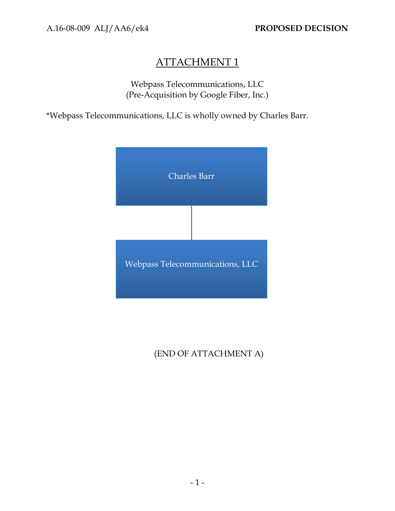# ATTACHMENT 1

Webpass Telecommunications, LLC (Pre-Acquisition by Google Fiber, Inc.)

\*Webpass Telecommunications, LLC is wholly owned by Charles Barr.



# (END OF ATTACHMENT A)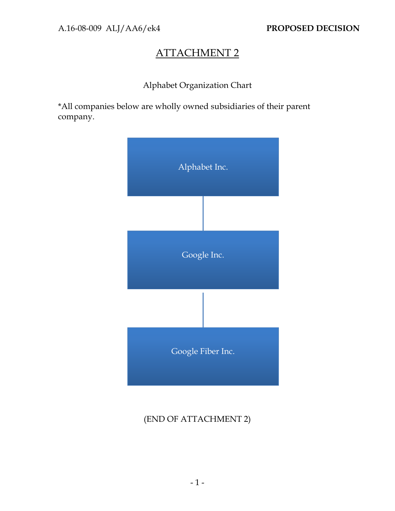# ATTACHMENT 2

## Alphabet Organization Chart

\*All companies below are wholly owned subsidiaries of their parent company.



## (END OF ATTACHMENT 2)